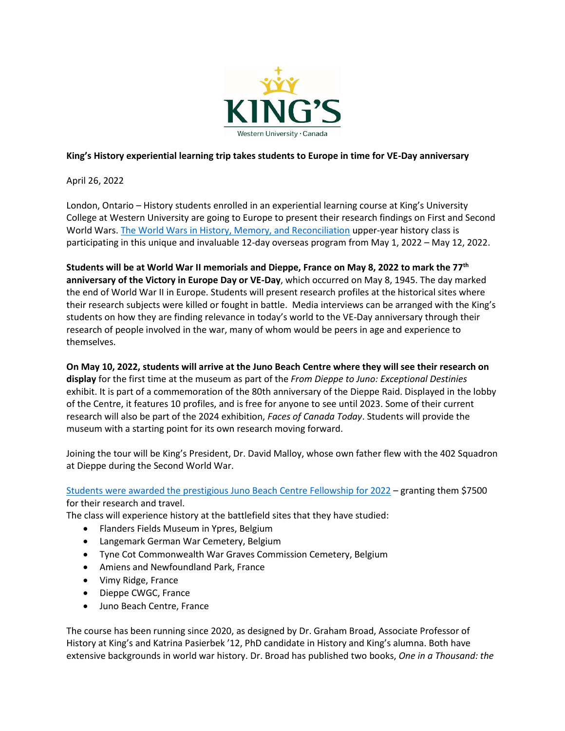

## **King's History experiential learning trip takes students to Europe in time for VE-Day anniversary**

April 26, 2022

London, Ontario – History students enrolled in an experiential learning course at King's University College at Western University are going to Europe to present their research findings on First and Second World Wars[. The World Wars in History, Memory, and Reconciliation](https://www.kings.uwo.ca/academics/history/experiential-learning/history-3710-4710g/) upper-year history class is participating in this unique and invaluable 12-day overseas program from May 1, 2022 – May 12, 2022.

**Students will be at World War II memorials and Dieppe, France on May 8, 2022 to mark the 77th anniversary of the Victory in Europe Day or VE-Day**, which occurred on May 8, 1945. The day marked the end of World War II in Europe. Students will present research profiles at the historical sites where their research subjects were killed or fought in battle. Media interviews can be arranged with the King's students on how they are finding relevance in today's world to the VE-Day anniversary through their research of people involved in the war, many of whom would be peers in age and experience to themselves.

**On May 10, 2022, students will arrive at the Juno Beach Centre where they will see their research on display** for the first time at the museum as part of the *From Dieppe to Juno: Exceptional Destinies* exhibit. It is part of a commemoration of the 80th anniversary of the Dieppe Raid. Displayed in the lobby of the Centre, it features 10 profiles, and is free for anyone to see until 2023. Some of their current research will also be part of the 2024 exhibition, *Faces of Canada Today*. Students will provide the museum with a starting point for its own research moving forward.

Joining the tour will be King's President, Dr. David Malloy, whose own father flew with the 402 Squadron at Dieppe during the Second World War.

[Students were awarded the prestigious Juno Beach Centre Fellowship](https://www.kings.uwo.ca/kings/assets/File/communications/media/releases/2022/media%20release%20-%2020220222.pdf) for 2022 – granting them \$7500 for their research and travel.

The class will experience history at the battlefield sites that they have studied:

- Flanders Fields Museum in Ypres, Belgium
- Langemark German War Cemetery, Belgium
- Tyne Cot Commonwealth War Graves Commission Cemetery, Belgium
- Amiens and Newfoundland Park, France
- Vimy Ridge, France
- Dieppe CWGC, France
- Juno Beach Centre, France

The course has been running since 2020, as designed by Dr. Graham Broad, Associate Professor of History at King's and Katrina Pasierbek '12, PhD candidate in History and King's alumna. Both have extensive backgrounds in world war history. Dr. Broad has published two books, *One in a Thousand: the*